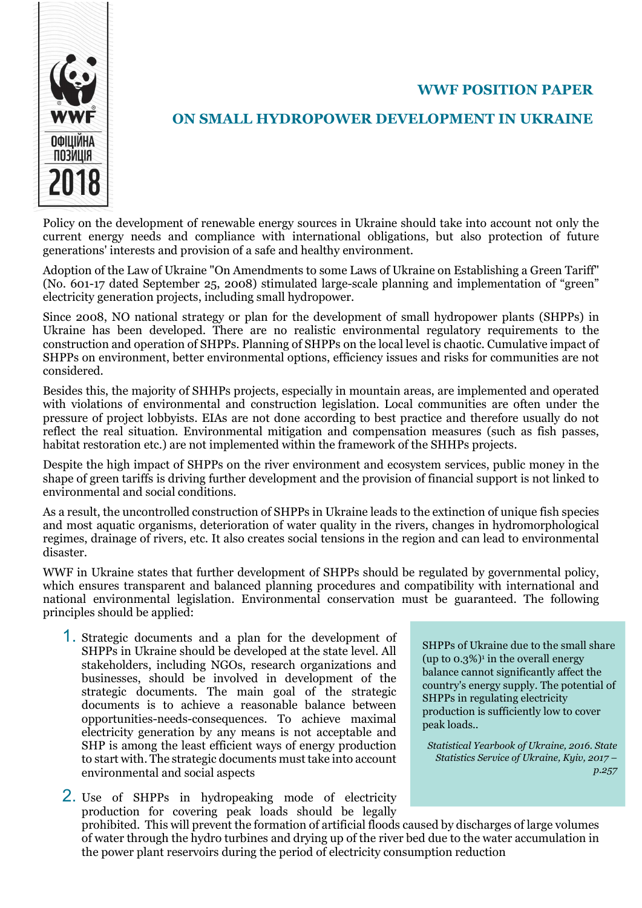## WWF POSITION PAPER



## ON SMALL HYDROPOWER DEVELOPMENT IN UKRAINE

Policy on the development of renewable energy sources in Ukraine should take into account not only the current energy needs and compliance with international obligations, but also protection of future generations' interests and provision of a safe and healthy environment.

Adoption of the Law of Ukraine "On Amendments to some Laws of Ukraine on Establishing a Green Tariff" (No. 601-17 dated September 25, 2008) stimulated large-scale planning and implementation of "green" electricity generation projects, including small hydropower.

Since 2008, NO national strategy or plan for the development of small hydropower plants (SHPPs) in Ukraine has been developed. There are no realistic environmental regulatory requirements to the construction and operation of SHPPs. Planning of SHPPs on the local level is chaotic. Cumulative impact of SHPPs on environment, better environmental options, efficiency issues and risks for communities are not considered.

Besides this, the majority of SHHPs projects, especially in mountain areas, are implemented and operated with violations of environmental and construction legislation. Local communities are often under the pressure of project lobbyists. EIAs are not done according to best practice and therefore usually do not reflect the real situation. Environmental mitigation and compensation measures (such as fish passes, habitat restoration etc.) are not implemented within the framework of the SHHPs projects.

Despite the high impact of SHPPs on the river environment and ecosystem services, public money in the shape of green tariffs is driving further development and the provision of financial support is not linked to environmental and social conditions.

As a result, the uncontrolled construction of SHPPs in Ukraine leads to the extinction of unique fish species and most aquatic organisms, deterioration of water quality in the rivers, changes in hydromorphological regimes, drainage of rivers, etc. It also creates social tensions in the region and can lead to environmental disaster.

WWF in Ukraine states that further development of SHPPs should be regulated by governmental policy, which ensures transparent and balanced planning procedures and compatibility with international and national environmental legislation. Environmental conservation must be guaranteed. The following principles should be applied:

1. Strategic documents and a plan for the development of SHPPs in Ukraine should be developed at the state level. All stakeholders, including NGOs, research organizations and businesses, should be involved in development of the strategic documents. The main goal of the strategic documents is to achieve a reasonable balance between opportunities-needs-consequences. To achieve maximal electricity generation by any means is not acceptable and SHP is among the least efficient ways of energy production to start with. The strategic documents must take into account environmental and social aspects

2. Use of SHPPs in hydropeaking mode of electricity production for covering peak loads should be legally prohibited. This will prevent the formation of artificial floods caused by discharges of large volumes of water through the hydro turbines and drying up of the river bed due to the water accumulation in the power plant reservoirs during the period of electricity consumption reduction

SHPPs of Ukraine due to the small share  $(up to 0.3%)$ <sup>1</sup> in the overall energy balance cannot significantly affect the country's energy supply. The potential of SHPPs in regulating electricity production is sufficiently low to cover peak loads..

Statistical Yearbook of Ukraine, 2016. State Statistics Service of Ukraine, Kyiv, 2017 – p.257